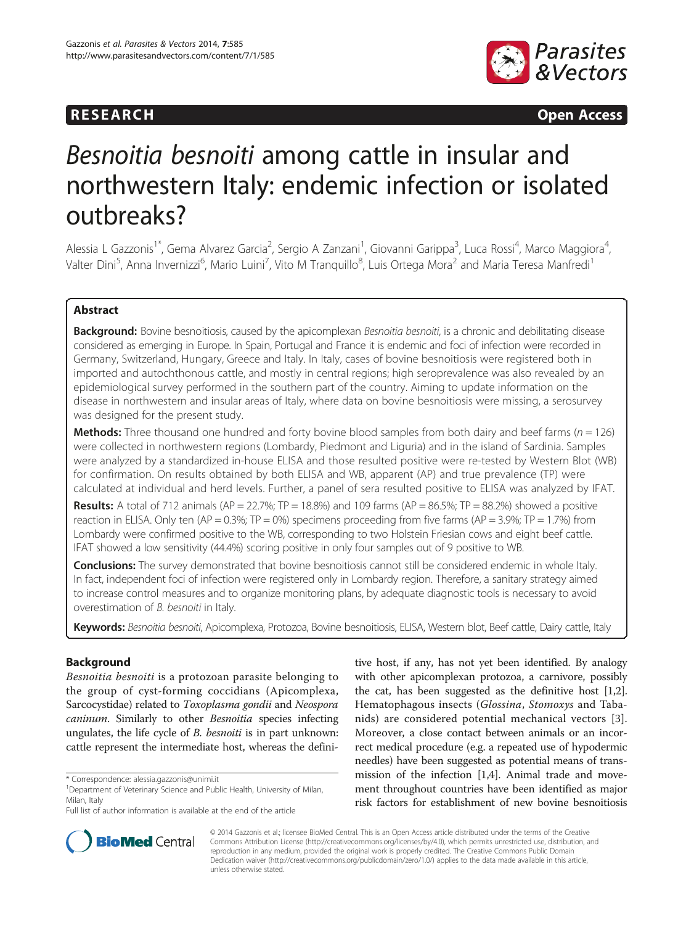

**RESEARCH RESEARCH CONSUMING ACCESS** 

# Besnoitia besnoiti among cattle in insular and northwestern Italy: endemic infection or isolated outbreaks?

Alessia L Gazzonis<sup>1\*</sup>, Gema Alvarez Garcia<sup>2</sup>, Sergio A Zanzani<sup>1</sup>, Giovanni Garippa<sup>3</sup>, Luca Rossi<sup>4</sup>, Marco Maggiora<sup>4</sup> , Valter Dini<sup>5</sup>, Anna Invernizzi<sup>6</sup>, Mario Luini<sup>7</sup>, Vito M Tranquillo<sup>8</sup>, Luis Ortega Mora<sup>2</sup> and Maria Teresa Manfredi<sup>1</sup>

# Abstract

**Background:** Bovine besnoitiosis, caused by the apicomplexan Besnoitia besnoiti, is a chronic and debilitating disease considered as emerging in Europe. In Spain, Portugal and France it is endemic and foci of infection were recorded in Germany, Switzerland, Hungary, Greece and Italy. In Italy, cases of bovine besnoitiosis were registered both in imported and autochthonous cattle, and mostly in central regions; high seroprevalence was also revealed by an epidemiological survey performed in the southern part of the country. Aiming to update information on the disease in northwestern and insular areas of Italy, where data on bovine besnoitiosis were missing, a serosurvey was designed for the present study.

**Methods:** Three thousand one hundred and forty bovine blood samples from both dairy and beef farms ( $n = 126$ ) were collected in northwestern regions (Lombardy, Piedmont and Liguria) and in the island of Sardinia. Samples were analyzed by a standardized in-house ELISA and those resulted positive were re-tested by Western Blot (WB) for confirmation. On results obtained by both ELISA and WB, apparent (AP) and true prevalence (TP) were calculated at individual and herd levels. Further, a panel of sera resulted positive to ELISA was analyzed by IFAT.

**Results:** A total of 712 animals (AP = 22.7%; TP = 18.8%) and 109 farms (AP = 86.5%; TP = 88.2%) showed a positive reaction in ELISA. Only ten (AP =  $0.3\%$ ; TP = 0%) specimens proceeding from five farms (AP =  $3.9\%$ ; TP =  $1.7\%$ ) from Lombardy were confirmed positive to the WB, corresponding to two Holstein Friesian cows and eight beef cattle. IFAT showed a low sensitivity (44.4%) scoring positive in only four samples out of 9 positive to WB.

Conclusions: The survey demonstrated that bovine besnoitiosis cannot still be considered endemic in whole Italy. In fact, independent foci of infection were registered only in Lombardy region. Therefore, a sanitary strategy aimed to increase control measures and to organize monitoring plans, by adequate diagnostic tools is necessary to avoid overestimation of B. besnoiti in Italy.

Keywords: Besnoitia besnoiti, Apicomplexa, Protozoa, Bovine besnoitiosis, ELISA, Western blot, Beef cattle, Dairy cattle, Italy

# Background

Besnoitia besnoiti is a protozoan parasite belonging to the group of cyst-forming coccidians (Apicomplexa, Sarcocystidae) related to Toxoplasma gondii and Neospora caninum. Similarly to other Besnoitia species infecting ungulates, the life cycle of *B. besnoiti* is in part unknown: cattle represent the intermediate host, whereas the defini-

tive host, if any, has not yet been identified. By analogy with other apicomplexan protozoa, a carnivore, possibly the cat, has been suggested as the definitive host [[1](#page-6-0),[2](#page-6-0)]. Hematophagous insects (Glossina, Stomoxys and Tabanids) are considered potential mechanical vectors [[3](#page-6-0)]. Moreover, a close contact between animals or an incorrect medical procedure (e.g. a repeated use of hypodermic needles) have been suggested as potential means of transmission of the infection [[1,4\]](#page-6-0). Animal trade and movement throughout countries have been identified as major risk factors for establishment of new bovine besnoitiosis



© 2014 Gazzonis et al.; licensee BioMed Central. This is an Open Access article distributed under the terms of the Creative Commons Attribution License [\(http://creativecommons.org/licenses/by/4.0\)](http://creativecommons.org/licenses/by/4.0), which permits unrestricted use, distribution, and reproduction in any medium, provided the original work is properly credited. The Creative Commons Public Domain Dedication waiver [\(http://creativecommons.org/publicdomain/zero/1.0/](http://creativecommons.org/publicdomain/zero/1.0/)) applies to the data made available in this article, unless otherwise stated.

<sup>\*</sup> Correspondence: [alessia.gazzonis@unimi.it](mailto:alessia.gazzonis@unimi.it) <sup>1</sup>

<sup>&</sup>lt;sup>1</sup>Department of Veterinary Science and Public Health, University of Milan, Milan, Italy

Full list of author information is available at the end of the article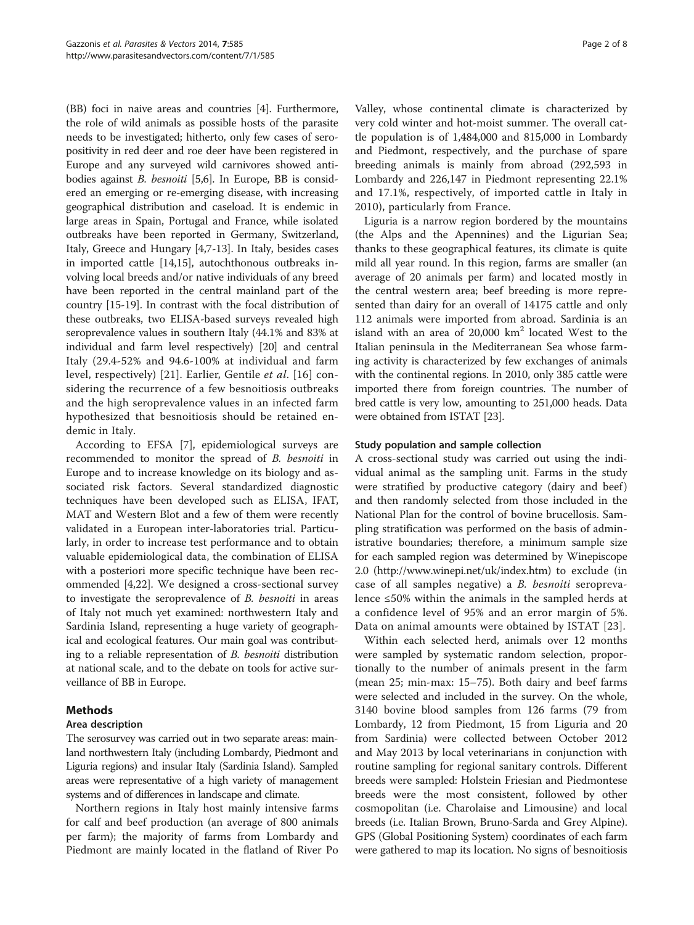(BB) foci in naive areas and countries [\[4\]](#page-6-0). Furthermore, the role of wild animals as possible hosts of the parasite needs to be investigated; hitherto, only few cases of seropositivity in red deer and roe deer have been registered in Europe and any surveyed wild carnivores showed antibodies against *B. besnoiti* [\[5,6](#page-6-0)]. In Europe, BB is considered an emerging or re-emerging disease, with increasing geographical distribution and caseload. It is endemic in large areas in Spain, Portugal and France, while isolated outbreaks have been reported in Germany, Switzerland, Italy, Greece and Hungary [\[4,7](#page-6-0)[-13](#page-7-0)]. In Italy, besides cases in imported cattle [[14,15](#page-7-0)], autochthonous outbreaks involving local breeds and/or native individuals of any breed have been reported in the central mainland part of the country [\[15-19\]](#page-7-0). In contrast with the focal distribution of these outbreaks, two ELISA-based surveys revealed high seroprevalence values in southern Italy (44.1% and 83% at individual and farm level respectively) [[20](#page-7-0)] and central Italy (29.4-52% and 94.6-100% at individual and farm level, respectively) [[21](#page-7-0)]. Earlier, Gentile et al. [[16\]](#page-7-0) considering the recurrence of a few besnoitiosis outbreaks and the high seroprevalence values in an infected farm hypothesized that besnoitiosis should be retained endemic in Italy.

According to EFSA [\[7](#page-6-0)], epidemiological surveys are recommended to monitor the spread of B. besnoiti in Europe and to increase knowledge on its biology and associated risk factors. Several standardized diagnostic techniques have been developed such as ELISA, IFAT, MAT and Western Blot and a few of them were recently validated in a European inter-laboratories trial. Particularly, in order to increase test performance and to obtain valuable epidemiological data, the combination of ELISA with a posteriori more specific technique have been recommended [[4](#page-6-0),[22](#page-7-0)]. We designed a cross-sectional survey to investigate the seroprevalence of B. besnoiti in areas of Italy not much yet examined: northwestern Italy and Sardinia Island, representing a huge variety of geographical and ecological features. Our main goal was contributing to a reliable representation of B. besnoiti distribution at national scale, and to the debate on tools for active surveillance of BB in Europe.

# Methods

# Area description

The serosurvey was carried out in two separate areas: mainland northwestern Italy (including Lombardy, Piedmont and Liguria regions) and insular Italy (Sardinia Island). Sampled areas were representative of a high variety of management systems and of differences in landscape and climate.

Northern regions in Italy host mainly intensive farms for calf and beef production (an average of 800 animals per farm); the majority of farms from Lombardy and Piedmont are mainly located in the flatland of River Po

Valley, whose continental climate is characterized by very cold winter and hot-moist summer. The overall cattle population is of 1,484,000 and 815,000 in Lombardy and Piedmont, respectively, and the purchase of spare breeding animals is mainly from abroad (292,593 in Lombardy and 226,147 in Piedmont representing 22.1% and 17.1%, respectively, of imported cattle in Italy in 2010), particularly from France.

Liguria is a narrow region bordered by the mountains (the Alps and the Apennines) and the Ligurian Sea; thanks to these geographical features, its climate is quite mild all year round. In this region, farms are smaller (an average of 20 animals per farm) and located mostly in the central western area; beef breeding is more represented than dairy for an overall of 14175 cattle and only 112 animals were imported from abroad. Sardinia is an island with an area of  $20,000$  km<sup>2</sup> located West to the Italian peninsula in the Mediterranean Sea whose farming activity is characterized by few exchanges of animals with the continental regions. In 2010, only 385 cattle were imported there from foreign countries. The number of bred cattle is very low, amounting to 251,000 heads. Data were obtained from ISTAT [\[23\]](#page-7-0).

# Study population and sample collection

A cross-sectional study was carried out using the individual animal as the sampling unit. Farms in the study were stratified by productive category (dairy and beef) and then randomly selected from those included in the National Plan for the control of bovine brucellosis. Sampling stratification was performed on the basis of administrative boundaries; therefore, a minimum sample size for each sampled region was determined by Winepiscope 2.0 (<http://www.winepi.net/uk/index.htm>) to exclude (in case of all samples negative) a B. besnoiti seroprevalence ≤50% within the animals in the sampled herds at a confidence level of 95% and an error margin of 5%. Data on animal amounts were obtained by ISTAT [\[23](#page-7-0)].

Within each selected herd, animals over 12 months were sampled by systematic random selection, proportionally to the number of animals present in the farm (mean 25; min-max: 15–75). Both dairy and beef farms were selected and included in the survey. On the whole, 3140 bovine blood samples from 126 farms (79 from Lombardy, 12 from Piedmont, 15 from Liguria and 20 from Sardinia) were collected between October 2012 and May 2013 by local veterinarians in conjunction with routine sampling for regional sanitary controls. Different breeds were sampled: Holstein Friesian and Piedmontese breeds were the most consistent, followed by other cosmopolitan (i.e. Charolaise and Limousine) and local breeds (i.e. Italian Brown, Bruno-Sarda and Grey Alpine). GPS (Global Positioning System) coordinates of each farm were gathered to map its location. No signs of besnoitiosis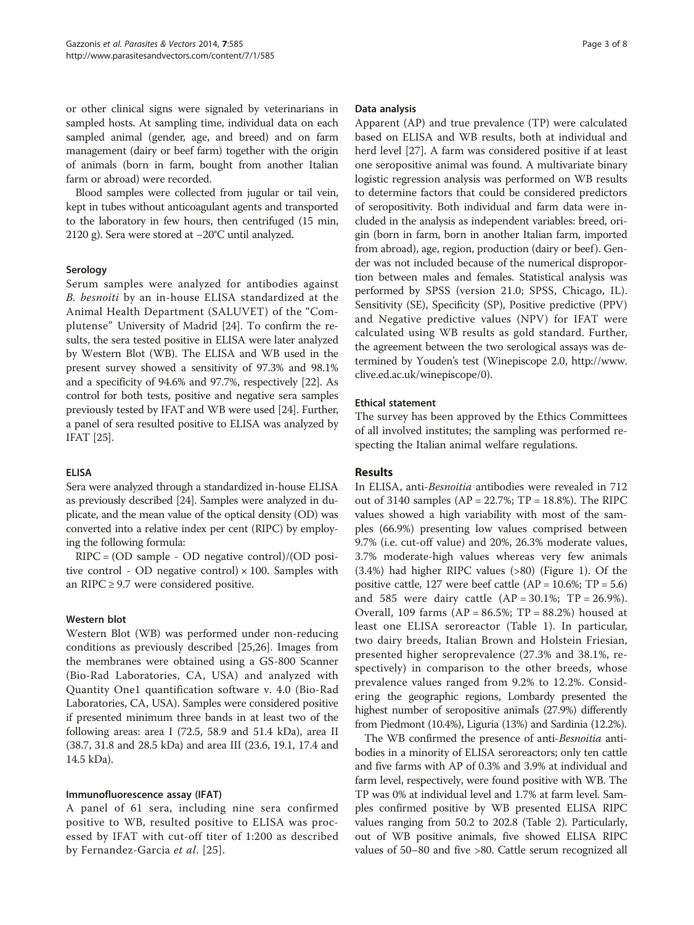or other clinical signs were signaled by veterinarians in sampled hosts. At sampling time, individual data on each sampled animal (gender, age, and breed) and on farm management (dairy or beef farm) together with the origin of animals (born in farm, bought from another Italian farm or abroad) were recorded.

Blood samples were collected from jugular or tail vein, kept in tubes without anticoagulant agents and transported to the laboratory in few hours, then centrifuged (15 min, 2120 g). Sera were stored at −20°C until analyzed.

# Serology

Serum samples were analyzed for antibodies against B. besnoiti by an in-house ELISA standardized at the Animal Health Department (SALUVET) of the "Complutense" University of Madrid [\[24](#page-7-0)]. To confirm the results, the sera tested positive in ELISA were later analyzed by Western Blot (WB). The ELISA and WB used in the present survey showed a sensitivity of 97.3% and 98.1% and a specificity of 94.6% and 97.7%, respectively [[22](#page-7-0)]. As control for both tests, positive and negative sera samples previously tested by IFAT and WB were used [[24](#page-7-0)]. Further, a panel of sera resulted positive to ELISA was analyzed by IFAT [[25\]](#page-7-0).

#### ELISA

Sera were analyzed through a standardized in-house ELISA as previously described [\[24\]](#page-7-0). Samples were analyzed in duplicate, and the mean value of the optical density (OD) was converted into a relative index per cent (RIPC) by employing the following formula:

RIPC = (OD sample - OD negative control)/(OD positive control - OD negative control)  $\times$  100. Samples with an RIPC  $\geq$  9.7 were considered positive.

#### Western blot

Western Blot (WB) was performed under non-reducing conditions as previously described [[25,26\]](#page-7-0). Images from the membranes were obtained using a GS-800 Scanner (Bio-Rad Laboratories, CA, USA) and analyzed with Quantity One1 quantification software v. 4.0 (Bio-Rad Laboratories, CA, USA). Samples were considered positive if presented minimum three bands in at least two of the following areas: area I (72.5, 58.9 and 51.4 kDa), area II (38.7, 31.8 and 28.5 kDa) and area III (23.6, 19.1, 17.4 and 14.5 kDa).

#### Immunofluorescence assay (IFAT)

A panel of 61 sera, including nine sera confirmed positive to WB, resulted positive to ELISA was processed by IFAT with cut-off titer of 1:200 as described by Fernandez-Garcia et al. [[25\]](#page-7-0).

#### Data analysis

Apparent (AP) and true prevalence (TP) were calculated based on ELISA and WB results, both at individual and herd level [\[27\]](#page-7-0). A farm was considered positive if at least one seropositive animal was found. A multivariate binary logistic regression analysis was performed on WB results to determine factors that could be considered predictors of seropositivity. Both individual and farm data were included in the analysis as independent variables: breed, origin (born in farm, born in another Italian farm, imported from abroad), age, region, production (dairy or beef). Gender was not included because of the numerical disproportion between males and females. Statistical analysis was performed by SPSS (version 21.0; SPSS, Chicago, IL). Sensitivity (SE), Specificity (SP), Positive predictive (PPV) and Negative predictive values (NPV) for IFAT were calculated using WB results as gold standard. Further, the agreement between the two serological assays was determined by Youden's test (Winepiscope 2.0, [http://www.](http://www.clive.ed.ac.uk/winepiscope/0) [clive.ed.ac.uk/winepiscope/0\)](http://www.clive.ed.ac.uk/winepiscope/0).

# Ethical statement

The survey has been approved by the Ethics Committees of all involved institutes; the sampling was performed respecting the Italian animal welfare regulations.

#### Results

In ELISA, anti-Besnoitia antibodies were revealed in 712 out of 3140 samples (AP = 22.7%;  $TP = 18.8\%$ ). The RIPC values showed a high variability with most of the samples (66.9%) presenting low values comprised between 9.7% (i.e. cut-off value) and 20%, 26.3% moderate values, 3.7% moderate-high values whereas very few animals (3.4%) had higher RIPC values (>80) (Figure [1\)](#page-3-0). Of the positive cattle, 127 were beef cattle  $AP = 10.6\%$ ; TP = 5.6) and 585 were dairy cattle  $(AP = 30.1\%; TP = 26.9\%).$ Overall, 109 farms  $AP = 86.5\%$ ; TP = 88.2%) housed at least one ELISA seroreactor (Table [1](#page-3-0)). In particular, two dairy breeds, Italian Brown and Holstein Friesian, presented higher seroprevalence (27.3% and 38.1%, respectively) in comparison to the other breeds, whose prevalence values ranged from 9.2% to 12.2%. Considering the geographic regions, Lombardy presented the highest number of seropositive animals (27.9%) differently from Piedmont (10.4%), Liguria (13%) and Sardinia (12.2%).

The WB confirmed the presence of anti-*Besnoitia* antibodies in a minority of ELISA seroreactors; only ten cattle and five farms with AP of 0.3% and 3.9% at individual and farm level, respectively, were found positive with WB. The TP was 0% at individual level and 1.7% at farm level. Samples confirmed positive by WB presented ELISA RIPC values ranging from 50.2 to 202.8 (Table [2\)](#page-4-0). Particularly, out of WB positive animals, five showed ELISA RIPC values of 50–80 and five >80. Cattle serum recognized all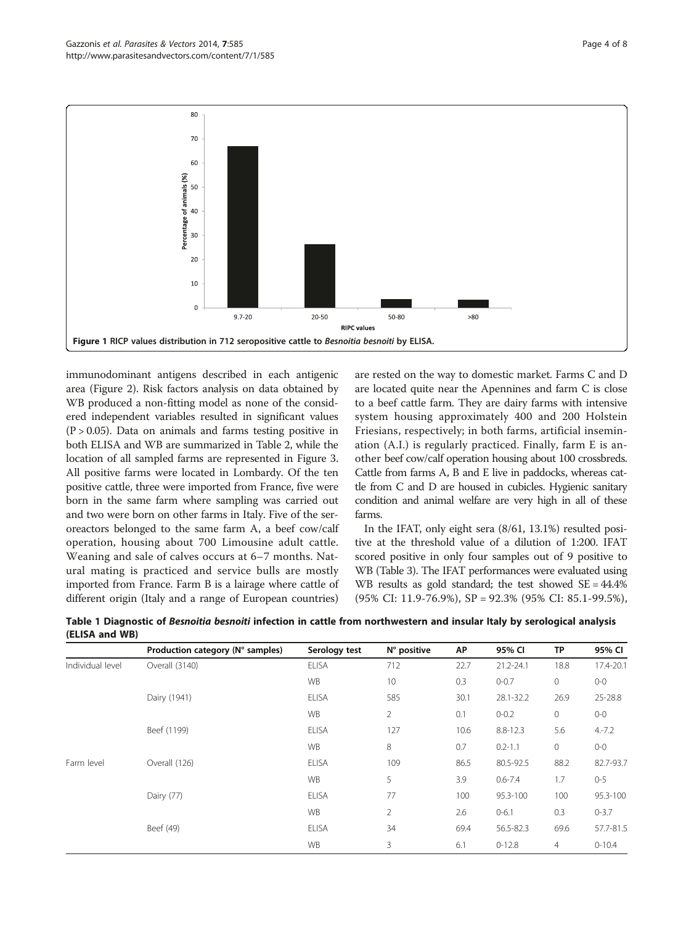<span id="page-3-0"></span>

immunodominant antigens described in each antigenic area (Figure [2\)](#page-4-0). Risk factors analysis on data obtained by WB produced a non-fitting model as none of the considered independent variables resulted in significant values  $(P > 0.05)$ . Data on animals and farms testing positive in both ELISA and WB are summarized in Table [2](#page-4-0), while the location of all sampled farms are represented in Figure [3](#page-5-0). All positive farms were located in Lombardy. Of the ten positive cattle, three were imported from France, five were born in the same farm where sampling was carried out and two were born on other farms in Italy. Five of the seroreactors belonged to the same farm A, a beef cow/calf operation, housing about 700 Limousine adult cattle. Weaning and sale of calves occurs at 6–7 months. Natural mating is practiced and service bulls are mostly imported from France. Farm B is a lairage where cattle of different origin (Italy and a range of European countries)

are rested on the way to domestic market. Farms C and D are located quite near the Apennines and farm C is close to a beef cattle farm. They are dairy farms with intensive system housing approximately 400 and 200 Holstein Friesians, respectively; in both farms, artificial insemination (A.I.) is regularly practiced. Finally, farm E is another beef cow/calf operation housing about 100 crossbreds. Cattle from farms A, B and E live in paddocks, whereas cattle from C and D are housed in cubicles. Hygienic sanitary condition and animal welfare are very high in all of these farms.

In the IFAT, only eight sera (8/61, 13.1%) resulted positive at the threshold value of a dilution of 1:200. IFAT scored positive in only four samples out of 9 positive to WB (Table [3](#page-5-0)). The IFAT performances were evaluated using WB results as gold standard; the test showed SE = 44.4% (95% CI: 11.9-76.9%), SP = 92.3% (95% CI: 85.1-99.5%),

|                  | Production category (N° samples) | Serology test | N° positive    | AP   | 95% CI        | <b>TP</b>      | 95% CI     |
|------------------|----------------------------------|---------------|----------------|------|---------------|----------------|------------|
| Individual level | Overall (3140)                   | <b>ELISA</b>  | 712            | 22.7 | $21.2 - 24.1$ | 18.8           | 17.4-20.1  |
|                  |                                  | WB            | 10             | 0.3  | $0 - 0.7$     | 0              | $0-0$      |
|                  | Dairy (1941)                     | <b>ELISA</b>  | 585            | 30.1 | $28.1 - 32.2$ | 26.9           | 25-28.8    |
|                  |                                  | WB            | $\overline{2}$ | 0.1  | $0 - 0.2$     | 0              | $O-O$      |
|                  | Beef (1199)                      | <b>ELISA</b>  | 127            | 10.6 | $8.8 - 12.3$  | 5.6            | $4.-7.2$   |
|                  |                                  | WB            | 8              | 0.7  | $0.2 - 1.1$   | $\circ$        | $O-O$      |
| Farm level       | Overall (126)                    | <b>ELISA</b>  | 109            | 86.5 | 80.5-92.5     | 88.2           | 82.7-93.7  |
|                  |                                  | WB            | 5              | 3.9  | $0.6 - 7.4$   | 1.7            | $0-5$      |
|                  | Dairy (77)                       | <b>ELISA</b>  | 77             | 100  | 95.3-100      | 100            | 95.3-100   |
|                  |                                  | WB            | $\overline{2}$ | 2.6  | $0 - 6.1$     | 0.3            | $0 - 3.7$  |
|                  | Beef (49)                        | <b>ELISA</b>  | 34             | 69.4 | 56.5-82.3     | 69.6           | 57.7-81.5  |
|                  |                                  | WB            | 3              | 6.1  | $0 - 12.8$    | $\overline{4}$ | $0 - 10.4$ |

Table 1 Diagnostic of Besnoitia besnoiti infection in cattle from northwestern and insular Italy by serological analysis (ELISA and WB)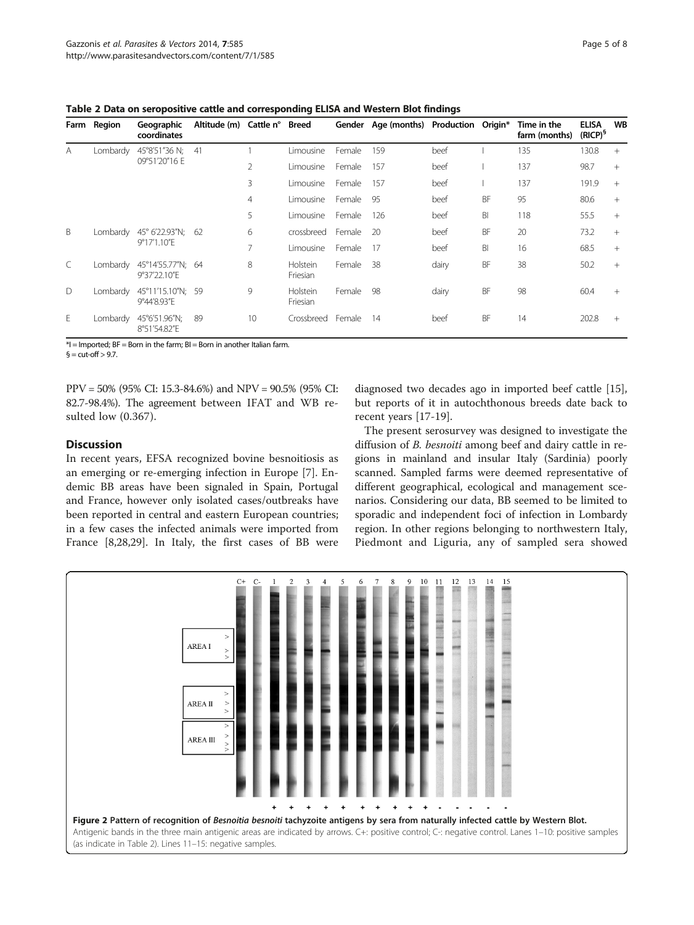<span id="page-4-0"></span>Table 2 Data on seropositive cattle and corresponding ELISA and Western Blot findings

| Farm          | Region        | Geographic<br>coordinates         | Altitude (m) Cattle n° Breed |           |                      |        | Gender Age (months) Production Origin* |       |           | Time in the<br>farm (months) | <b>ELISA</b><br>$(RICP)^5$ | WB     |
|---------------|---------------|-----------------------------------|------------------------------|-----------|----------------------|--------|----------------------------------------|-------|-----------|------------------------------|----------------------------|--------|
| Lombardy<br>A | 45°8'51"36 N; | 41                                |                              | Limousine | Female               | 159    | beef                                   |       | 135       | 130.8                        | $^{+}$                     |        |
|               |               | 09°51'20"16 E                     |                              | 2         | Limousine            | Female | 157                                    | beef  |           | 137                          | 98.7                       | $+$    |
|               |               |                                   |                              | 3         | Limousine            | Female | 157                                    | beef  |           | 137                          | 191.9                      | $+$    |
|               |               |                                   |                              | 4         | Limousine            | Female | -95                                    | beef  | <b>BF</b> | 95<br>80.6                   |                            | $+$    |
|               |               |                                   |                              | 5         | Limousine            | Female | 126                                    | beef  | BI        | 118                          | 55.5                       | $+$    |
| <sup>B</sup>  | Lombardy      | 45° 6'22.93″N;                    | -62                          | 6         | crossbreed           | Female | -20                                    | beef  | <b>BF</b> | 20                           | 73.2                       | $+$    |
|               |               | 9°17'1.10"E                       |                              | 7         | Limousine            | Female | 17                                     | beef  | BI        | 16                           | 68.5                       | $+$    |
| $\subset$     | Lombardy      | 45°14'55.77"N; 64<br>9°37'22.10"F |                              | 8         | Holstein<br>Friesian | Female | 38                                     | dairy | BF        | 38                           | 50.2                       | $^{+}$ |
| $\mathsf{D}$  | Lombardy      | 45°11'15.10"N: 59<br>9°44'8.93"E  |                              | 9         | Holstein<br>Friesian | Female | 98                                     | dairy | BF        | 98                           | 60.4                       | $^{+}$ |
| F.            | Lombardy      | 45°6′51.96″N;<br>8°51'54.82"E     | 89                           | 10        | Crossbreed           | Female | 14                                     | beef  | <b>BF</b> | 14                           | 202.8                      | $+$    |

\*I = Imported; BF = Born in the farm; BI = Born in another Italian farm.

 $\S = cut-off > 9.7$ .

PPV = 50% (95% CI: 15.3-84.6%) and NPV = 90.5% (95% CI: 82.7-98.4%). The agreement between IFAT and WB resulted low (0.367).

# **Discussion**

In recent years, EFSA recognized bovine besnoitiosis as an emerging or re-emerging infection in Europe [\[7](#page-6-0)]. Endemic BB areas have been signaled in Spain, Portugal and France, however only isolated cases/outbreaks have been reported in central and eastern European countries; in a few cases the infected animals were imported from France [\[8,28,29\]](#page-7-0). In Italy, the first cases of BB were

diagnosed two decades ago in imported beef cattle [\[15](#page-7-0)], but reports of it in autochthonous breeds date back to recent years [[17-19](#page-7-0)].

The present serosurvey was designed to investigate the diffusion of *B. besnoiti* among beef and dairy cattle in regions in mainland and insular Italy (Sardinia) poorly scanned. Sampled farms were deemed representative of different geographical, ecological and management scenarios. Considering our data, BB seemed to be limited to sporadic and independent foci of infection in Lombardy region. In other regions belonging to northwestern Italy, Piedmont and Liguria, any of sampled sera showed

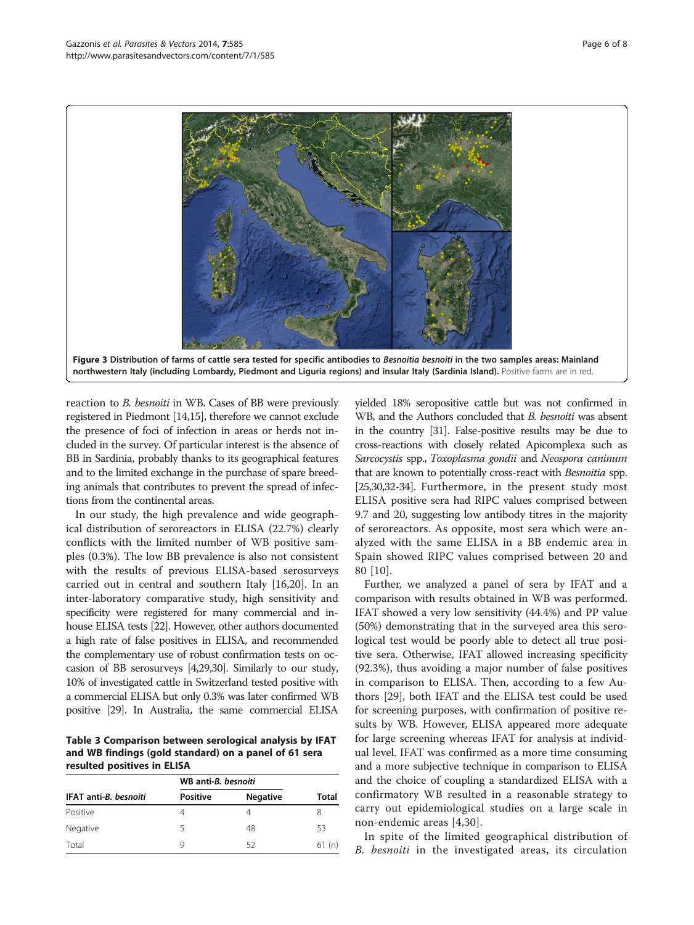<span id="page-5-0"></span>

reaction to B. besnoiti in WB. Cases of BB were previously registered in Piedmont [\[14,15](#page-7-0)], therefore we cannot exclude the presence of foci of infection in areas or herds not included in the survey. Of particular interest is the absence of BB in Sardinia, probably thanks to its geographical features and to the limited exchange in the purchase of spare breeding animals that contributes to prevent the spread of infections from the continental areas.

In our study, the high prevalence and wide geographical distribution of seroreactors in ELISA (22.7%) clearly conflicts with the limited number of WB positive samples (0.3%). The low BB prevalence is also not consistent with the results of previous ELISA-based serosurveys carried out in central and southern Italy [\[16,20](#page-7-0)]. In an inter-laboratory comparative study, high sensitivity and specificity were registered for many commercial and inhouse ELISA tests [\[22](#page-7-0)]. However, other authors documented a high rate of false positives in ELISA, and recommended the complementary use of robust confirmation tests on occasion of BB serosurveys [\[4,](#page-6-0)[29,30](#page-7-0)]. Similarly to our study, 10% of investigated cattle in Switzerland tested positive with a commercial ELISA but only 0.3% was later confirmed WB positive [[29\]](#page-7-0). In Australia, the same commercial ELISA

Table 3 Comparison between serological analysis by IFAT and WB findings (gold standard) on a panel of 61 sera resulted positives in ELISA

|                              |                 | WB anti-B. besnoiti |       |  |  |
|------------------------------|-----------------|---------------------|-------|--|--|
| <b>IFAT anti-B. besnoiti</b> | <b>Positive</b> | <b>Negative</b>     | Total |  |  |
| Positive                     |                 |                     | 8     |  |  |
| Negative                     | 5               | 48                  | 53    |  |  |
| Total                        | Q               | 52                  | 61(n) |  |  |

yielded 18% seropositive cattle but was not confirmed in WB, and the Authors concluded that B. besnoiti was absent in the country [[31\]](#page-7-0). False-positive results may be due to cross-reactions with closely related Apicomplexa such as Sarcocystis spp., Toxoplasma gondii and Neospora caninum that are known to potentially cross-react with Besnoitia spp. [[25,30,32](#page-7-0)-[34](#page-7-0)]. Furthermore, in the present study most ELISA positive sera had RIPC values comprised between 9.7 and 20, suggesting low antibody titres in the majority of seroreactors. As opposite, most sera which were analyzed with the same ELISA in a BB endemic area in Spain showed RIPC values comprised between 20 and 80 [[10](#page-7-0)].

Further, we analyzed a panel of sera by IFAT and a comparison with results obtained in WB was performed. IFAT showed a very low sensitivity (44.4%) and PP value (50%) demonstrating that in the surveyed area this serological test would be poorly able to detect all true positive sera. Otherwise, IFAT allowed increasing specificity (92.3%), thus avoiding a major number of false positives in comparison to ELISA. Then, according to a few Authors [[29](#page-7-0)], both IFAT and the ELISA test could be used for screening purposes, with confirmation of positive results by WB. However, ELISA appeared more adequate for large screening whereas IFAT for analysis at individual level. IFAT was confirmed as a more time consuming and a more subjective technique in comparison to ELISA and the choice of coupling a standardized ELISA with a confirmatory WB resulted in a reasonable strategy to carry out epidemiological studies on a large scale in non-endemic areas [\[4](#page-6-0),[30\]](#page-7-0).

In spite of the limited geographical distribution of B. besnoiti in the investigated areas, its circulation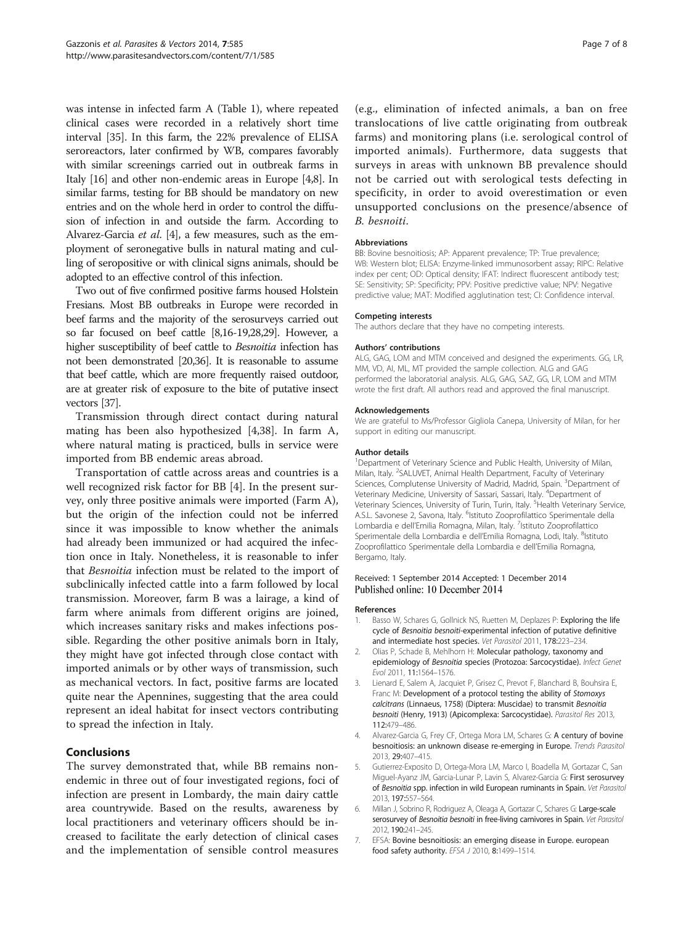<span id="page-6-0"></span>was intense in infected farm A (Table [1\)](#page-3-0), where repeated clinical cases were recorded in a relatively short time interval [\[35\]](#page-7-0). In this farm, the 22% prevalence of ELISA seroreactors, later confirmed by WB, compares favorably with similar screenings carried out in outbreak farms in Italy [\[16](#page-7-0)] and other non-endemic areas in Europe [4[,8\]](#page-7-0). In similar farms, testing for BB should be mandatory on new entries and on the whole herd in order to control the diffusion of infection in and outside the farm. According to Alvarez-Garcia et al. [4], a few measures, such as the employment of seronegative bulls in natural mating and culling of seropositive or with clinical signs animals, should be adopted to an effective control of this infection.

Two out of five confirmed positive farms housed Holstein Fresians. Most BB outbreaks in Europe were recorded in beef farms and the majority of the serosurveys carried out so far focused on beef cattle [\[8,16-19,28,29](#page-7-0)]. However, a higher susceptibility of beef cattle to Besnoitia infection has not been demonstrated [\[20,36](#page-7-0)]. It is reasonable to assume that beef cattle, which are more frequently raised outdoor, are at greater risk of exposure to the bite of putative insect vectors [[37\]](#page-7-0).

Transmission through direct contact during natural mating has been also hypothesized [4,[38\]](#page-7-0). In farm A, where natural mating is practiced, bulls in service were imported from BB endemic areas abroad.

Transportation of cattle across areas and countries is a well recognized risk factor for BB [4]. In the present survey, only three positive animals were imported (Farm A), but the origin of the infection could not be inferred since it was impossible to know whether the animals had already been immunized or had acquired the infection once in Italy. Nonetheless, it is reasonable to infer that Besnoitia infection must be related to the import of subclinically infected cattle into a farm followed by local transmission. Moreover, farm B was a lairage, a kind of farm where animals from different origins are joined, which increases sanitary risks and makes infections possible. Regarding the other positive animals born in Italy, they might have got infected through close contact with imported animals or by other ways of transmission, such as mechanical vectors. In fact, positive farms are located quite near the Apennines, suggesting that the area could represent an ideal habitat for insect vectors contributing to spread the infection in Italy.

# Conclusions

The survey demonstrated that, while BB remains nonendemic in three out of four investigated regions, foci of infection are present in Lombardy, the main dairy cattle area countrywide. Based on the results, awareness by local practitioners and veterinary officers should be increased to facilitate the early detection of clinical cases and the implementation of sensible control measures

(e.g., elimination of infected animals, a ban on free translocations of live cattle originating from outbreak farms) and monitoring plans (i.e. serological control of imported animals). Furthermore, data suggests that surveys in areas with unknown BB prevalence should not be carried out with serological tests defecting in specificity, in order to avoid overestimation or even unsupported conclusions on the presence/absence of B. besnoiti.

#### Abbreviations

BB: Bovine besnoitiosis; AP: Apparent prevalence; TP: True prevalence; WB: Western blot; ELISA: Enzyme-linked immunosorbent assay; RIPC: Relative index per cent; OD: Optical density; IFAT: Indirect fluorescent antibody test; SE: Sensitivity; SP: Specificity; PPV: Positive predictive value; NPV: Negative predictive value; MAT: Modified agglutination test; CI: Confidence interval.

#### Competing interests

The authors declare that they have no competing interests.

#### Authors' contributions

ALG, GAG, LOM and MTM conceived and designed the experiments. GG, LR, MM, VD, AI, ML, MT provided the sample collection. ALG and GAG performed the laboratorial analysis. ALG, GAG, SAZ, GG, LR, LOM and MTM wrote the first draft. All authors read and approved the final manuscript.

#### Acknowledgements

We are grateful to Ms/Professor Gigliola Canepa, University of Milan, for her support in editing our manuscript.

#### Author details

<sup>1</sup>Department of Veterinary Science and Public Health, University of Milan Milan, Italy. <sup>2</sup>SALUVET, Animal Health Department, Faculty of Veterinary Sciences, Complutense University of Madrid, Madrid, Spain. <sup>3</sup>Department of Veterinary Medicine, University of Sassari, Sassari, Italy. <sup>4</sup>Department of Veterinary Sciences, University of Turin, Turin, Italy. <sup>5</sup> Health Veterinary Service A.S.L. Savonese 2, Savona, Italy. <sup>6</sup>Istituto Zooprofilattico Sperimentale della Lombardia e dell'Emilia Romagna, Milan, Italy. 7Istituto Zooprofilattico Sperimentale della Lombardia e dell'Emilia Romagna, Lodi, Italy. <sup>8</sup>Istituto Zooprofilattico Sperimentale della Lombardia e dell'Emilia Romagna, Bergamo, Italy.

#### Received: 1 September 2014 Accepted: 1 December 2014 Published online: 10 December 2014

#### References

- 1. Basso W, Schares G, Gollnick NS, Ruetten M, Deplazes P: Exploring the life cycle of Besnoitia besnoiti-experimental infection of putative definitive and intermediate host species. Vet Parasitol 2011, 178:223–234.
- 2. Olias P, Schade B, Mehlhorn H: Molecular pathology, taxonomy and epidemiology of Besnoitia species (Protozoa: Sarcocystidae). Infect Genet Evol 2011, 11:1564–1576.
- Lienard E, Salem A, Jacquiet P, Grisez C, Prevot F, Blanchard B, Bouhsira E, Franc M: Development of a protocol testing the ability of Stomoxys calcitrans (Linnaeus, 1758) (Diptera: Muscidae) to transmit Besnoitia besnoiti (Henry, 1913) (Apicomplexa: Sarcocystidae). Parasitol Res 2013, 112:479–486.
- 4. Alvarez-Garcia G, Frey CF, Ortega Mora LM, Schares G: A century of bovine besnoitiosis: an unknown disease re-emerging in Europe. Trends Parasitol 2013, 29:407–415.
- 5. Gutierrez-Exposito D, Ortega-Mora LM, Marco I, Boadella M, Gortazar C, San Miguel-Ayanz JM, Garcia-Lunar P, Lavin S, Alvarez-Garcia G: First serosurvey of Besnoitia spp. infection in wild European ruminants in Spain. Vet Parasitol 2013, 197:557–564.
- 6. Millan J, Sobrino R, Rodriguez A, Oleaga A, Gortazar C, Schares G: Large-scale serosurvey of Besnoitia besnoiti in free-living carnivores in Spain. Vet Parasitol 2012, 190:241–245.
- 7. EFSA: Bovine besnoitiosis: an emerging disease in Europe. european food safety authority. EFSA J 2010, 8:1499–1514.